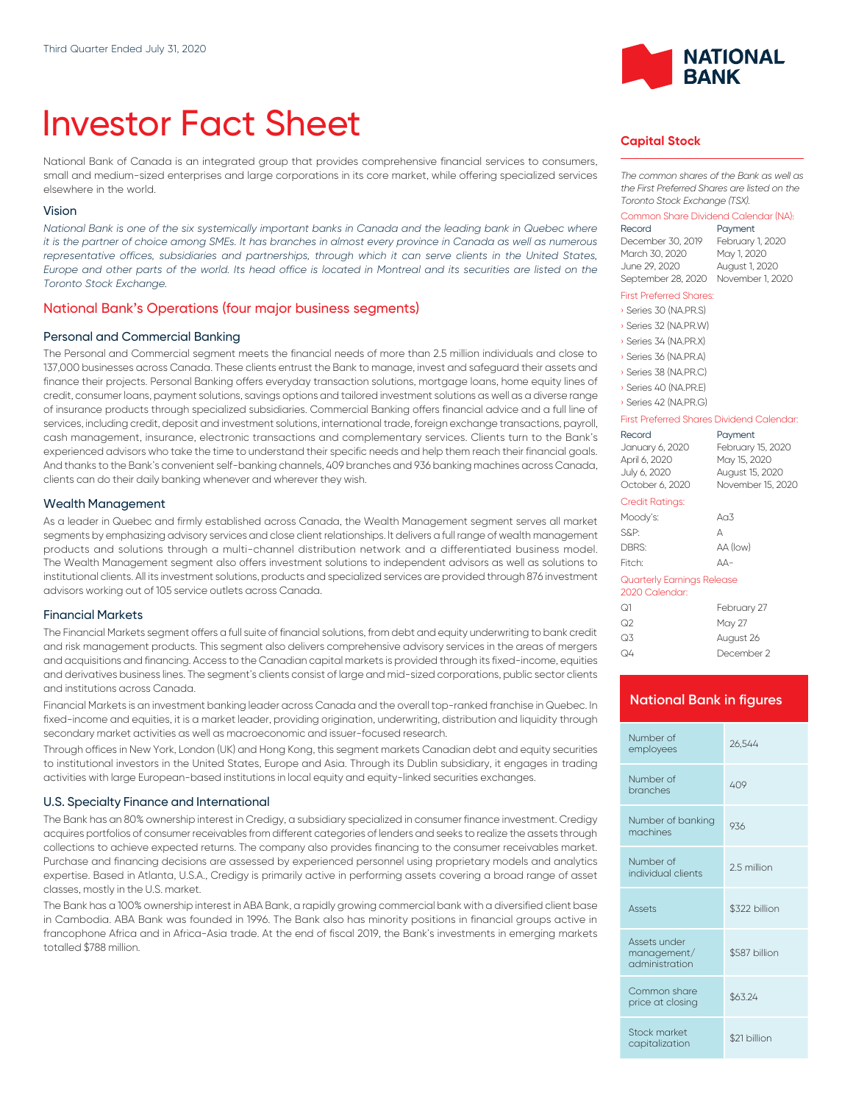# Investor Fact Sheet

National Bank of Canada is an integrated group that provides comprehensive financial services to consumers, small and medium-sized enterprises and large corporations in its core market, while offering specialized services elsewhere in the world.

#### Vision

*National Bank is one of the six systemically important banks in Canada and the leading bank in Quebec where it is the partner of choice among SMEs. It has branches in almost every province in Canada as well as numerous* representative offices, subsidiaries and partnerships, through which it can serve clients in the United States, *Europe and other parts of the world. Its head office is located in Montreal and its securities are listed on the Toronto Stock Exchange.*

# National Bank's Operations (four major business segments)

### Personal and Commercial Banking

The Personal and Commercial segment meets the financial needs of more than 2.5 million individuals and close to 137,000 businesses across Canada. These clients entrust the Bank to manage, invest and safeguard their assets and finance their projects. Personal Banking offers everyday transaction solutions, mortgage loans, home equity lines of credit, consumer loans, payment solutions, savings options and tailored investment solutions as well as a diverse range of insurance products through specialized subsidiaries. Commercial Banking offers financial advice and a full line of services, including credit, deposit and investment solutions, international trade, foreign exchange transactions, payroll, cash management, insurance, electronic transactions and complementary services. Clients turn to the Bank's experienced advisors who take the time to understand their specific needs and help them reach their financial goals. And thanks to the Bank's convenient self-banking channels, 409 branches and 936 banking machines across Canada, clients can do their daily banking whenever and wherever they wish.

#### Wealth Management

As a leader in Quebec and firmly established across Canada, the Wealth Management segment serves all market segments by emphasizing advisory services and close client relationships. lt delivers a full range of wealth management products and solutions through a multi-channel distribution network and a differentiated business model. The Wealth Management segment also offers investment solutions to independent advisors as well as solutions to institutional clients. All its investment solutions, products and specialized services are provided through 876 investment advisors working out of 105 service outlets across Canada.

#### Financial Markets

The Financial Markets segment offers a full suite of financial solutions, from debt and equity underwriting to bank credit and risk management products. This segment also delivers comprehensive advisory services in the areas of mergers and acquisitions and financing. Access to the Canadian capital markets is provided through its fixed-income, equities and derivatives business lines. The segment's clients consist of large and mid-sized corporations, public sector clients and institutions across Canada.

Financial Markets is an investment banking leader across Canada and the overall top-ranked franchise in Quebec. In fixed-income and equities, it is a market leader, providing origination, underwriting, distribution and liquidity through secondary market activities as well as macroeconomic and issuer-focused research.

Through offices in New York, London (UK) and Hong Kong, this segment markets Canadian debt and equity securities to institutional investors in the United States, Europe and Asia. Through its Dublin subsidiary, it engages in trading activities with large European-based institutions in local equity and equity-linked securities exchanges.

#### U.S. Specialty Finance and International

The Bank has an 80% ownership interest in Credigy, a subsidiary specialized in consumer finance investment. Credigy acquires portfolios of consumer receivables from different categories of lenders and seeks to realize the assets through collections to achieve expected returns. The company also provides financing to the consumer receivables market. Purchase and financing decisions are assessed by experienced personnel using proprietary models and analytics expertise. Based in Atlanta, U.S.A., Credigy is primarily active in performing assets covering a broad range of asset classes, mostly in the U.S. market.

The Bank has a 100% ownership interest in ABA Bank, a rapidly growing commercial bank with a diversified client base in Cambodia. ABA Bank was founded in 1996. The Bank also has minority positions in financial groups active in francophone Africa and in Africa-Asia trade. At the end of fiscal 2019, the Bank's investments in emerging markets totalled \$788 million.



# **Capital Stock**

*The common shares of the Bank as well as the First Preferred Shares are listed on the Toronto Stock Exchange (TSX).*

#### Common Share Dividend Calendar (NA):

| Record             | Payment          |
|--------------------|------------------|
| December 30, 2019  | February 1, 2020 |
| March 30, 2020     | May 1, 2020      |
| June 29, 2020      | August 1, 2020   |
| September 28, 2020 | November 1, 2020 |

#### First Preferred Shares:

| Series 30 (NA.PR.S)   |
|-----------------------|
| Series 32 (NA.PR.W)   |
| Series 34 (NA, PR, X) |
| Series 36 (NA.PR.A)   |
| Series 38 (NA.PR.C)   |
| Series 40 (NA.PR.E)   |
| Series 42 (NA PRG)    |

| First Preferred Shares Dividend Calendar:    |                   |  |
|----------------------------------------------|-------------------|--|
| Record                                       | Payment           |  |
| January 6, 2020                              | February 15, 2020 |  |
| April 6, 2020                                | May 15, 2020      |  |
| July 6, 2020                                 | August 15, 2020   |  |
| October 6, 2020                              | November 15, 2020 |  |
| Credit Ratings:                              |                   |  |
| Moody's:                                     | A <sub>0</sub> 3  |  |
| S&P:                                         | А                 |  |
| DBRS:                                        | AA (low)          |  |
| Fitch <sup>.</sup>                           | $\Delta \Delta -$ |  |
| Quarterly Earnings Release<br>2020 Calendar: |                   |  |

| ೧1 | February 27 |
|----|-------------|
| ೧2 | May 27      |
| Q3 | August 26   |
| Q4 | December 2  |

# **National Bank in figures**

| Number of<br>employees                        | 26.544        |
|-----------------------------------------------|---------------|
| Number of<br>branches                         | 409           |
| Number of banking<br>machines                 | 936           |
| Number of<br>individual clients               | 2.5 million   |
| Assets                                        | \$322 billion |
| Assets under<br>management/<br>administration | \$587 billion |
| Common share<br>price at closing              | \$63.24       |
| Stock market<br>capitalization                | \$21 billion  |